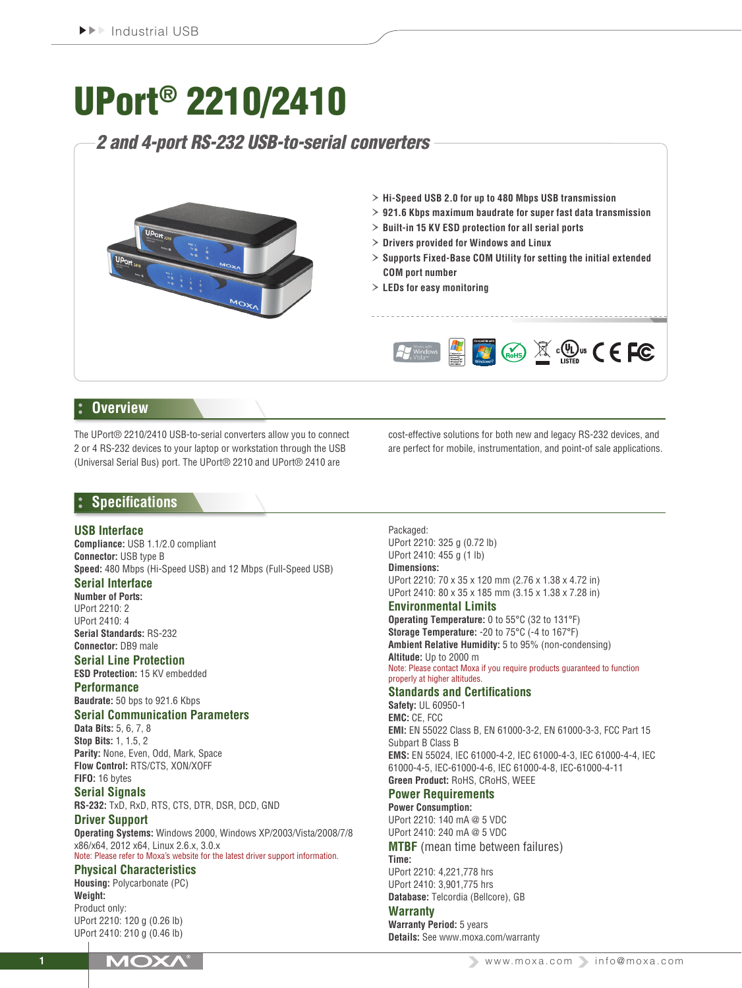# UPort® 2210/2410

# *2 and 4-port RS-232 USB-to-serial converters*



# **Overview**

The UPort® 2210/2410 USB-to-serial converters allow you to connect 2 or 4 RS-232 devices to your laptop or workstation through the USB (Universal Serial Bus) port. The UPort® 2210 and UPort® 2410 are

cost-effective solutions for both new and legacy RS-232 devices, and are perfect for mobile, instrumentation, and point-of sale applications.

### **Specifications**

#### **USB Interface**

**Compliance:** USB 1.1/2.0 compliant **Connector:** USB type B **Speed:** 480 Mbps (Hi-Speed USB) and 12 Mbps (Full-Speed USB)

#### **Serial Interface**

**Number of Ports:** UPort 2210: 2 UPort 2410: 4 **Serial Standards:** RS-232 **Connector:** DB9 male

# **Serial Line Protection**

**ESD Protection:** 15 KV embedded **Performance**

**Baudrate:** 50 bps to 921.6 Kbps **Serial Communication Parameters**

**Data Bits:** 5, 6, 7, 8 **Stop Bits:** 1, 1.5, 2 **Parity:** None, Even, Odd, Mark, Space

**Flow Control:** RTS/CTS, XON/XOFF **FIFO:** 16 bytes

#### **Serial Signals**

**RS-232:** TxD, RxD, RTS, CTS, DTR, DSR, DCD, GND

#### **Driver Support**

**Operating Systems:** Windows 2000, Windows XP/2003/Vista/2008/7/8 x86/x64, 2012 x64, Linux 2.6.x, 3.0.x Note: Please refer to Moxa's website for the latest driver support information.

#### **Physical Characteristics**

**Housing:** Polycarbonate (PC) **Weight:** Product only: UPort 2210: 120 g (0.26 lb) UPort 2410: 210 g (0.46 lb)

#### Packaged:

UPort 2210: 325 g (0.72 lb) UPort 2410: 455 g (1 lb) **Dimensions:** UPort 2210: 70 x 35 x 120 mm (2.76 x 1.38 x 4.72 in) UPort 2410: 80 x 35 x 185 mm (3.15 x 1.38 x 7.28 in)

#### **Environmental Limits**

**Operating Temperature:** 0 to 55°C (32 to 131°F) **Storage Temperature:** -20 to 75°C (-4 to 167°F) **Ambient Relative Humidity:** 5 to 95% (non-condensing) **Altitude:** Up to 2000 m Note: Please contact Moxa if you require products guaranteed to function properly at higher altitudes.

# **Standards and Certifications**

**Safety:** UL 60950-1 **EMC:** CE, FCC **EMI:** EN 55022 Class B, EN 61000-3-2, EN 61000-3-3, FCC Part 15 Subpart B Class B **EMS:** EN 55024, IEC 61000-4-2, IEC 61000-4-3, IEC 61000-4-4, IEC 61000-4-5, IEC-61000-4-6, IEC 61000-4-8, IEC-61000-4-11 **Green Product:** RoHS, CRoHS, WEEE

#### **Power Requirements**

**Power Consumption:** UPort 2210: 140 mA @ 5 VDC UPort 2410: 240 mA @ 5 VDC

#### **MTBF** (mean time between failures) **Time:** UPort 2210: 4,221,778 hrs

UPort 2410: 3,901,775 hrs **Database:** Telcordia (Bellcore), GB

# **Warranty**

**Warranty Period:** 5 years **Details:** See www.moxa.com/warranty